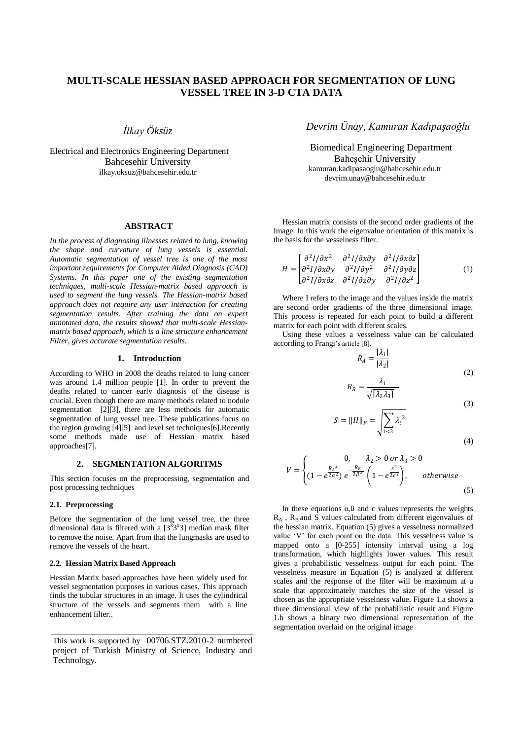# **MULTI-SCALE HESSIAN BASED APPROACH FOR SEGMENTATION OF LUNG VESSEL TREE IN 3-D CTA DATA**

*İlkay Öksüz*

Electrical and Electronics Engineering Department Bahcesehir University ilkay.oksuz@bahcesehir.edu.tr

## **ABSTRACT**

*In the process of diagnosing illnesses related to lung, knowing the shape and curvature of lung vessels is essential. Automatic segmentation of vessel tree is one of the most important requirements for Computer Aided Diagnosis (CAD) Systems. In this paper one of the existing segmentation techniques, multi-scale Hessian-matrix based approach is used to segment the lung vessels. The Hessian-matrix based approach does not require any user interaction for creating segmentation results. After training the data on expert annotated data, the results showed that multi-scale Hessianmatrix based approach, which is a line structure enhancement Filter, gives accurate segmentation results.*

#### **1. Introduction**

According to WHO in 2008 the deaths related to lung cancer was around 1.4 million people [1]. In order to prevent the deaths related to cancer early diagnosis of the disease is crucial. Even though there are many methods related to nodule segmentation [2][3], there are less methods for automatic segmentation of lung vessel tree. These publications focus on the region growing [4][5] and level set techniques[6].Recently some methods made use of Hessian matrix based approaches[7].

#### **2. SEGMENTATION ALGORITMS**

This section focuses on the preprocessing, segmentation and post processing techniques

### **2.1. Preprocessing**

Before the segmentation of the lung vessel tree, the three dimensional data is filtered with a  $[3^{\overline{x}}3^{\overline{x}}3]$  median mask filter to remove the noise. Apart from that the lungmasks are used to remove the vessels of the heart.

### **2.2. Hessian Matrix Based Approach**

Hessian Matrix based approaches have been widely used for vessel segmentation purposes in various cases. This approach finds the tubular structures in an image. It uses the cylindrical structure of the vessels and segments them with a line enhancement filter..

# *Devrim Ünay, Kamuran Kadıpaşaoğlu*

Biomedical Engineering Department Baheşehir University kamuran.kadipasaoglu@bahcesehir.edu.tr devrim.unay@bahcesehir.edu.tr

Hessian matrix consists of the second order gradients of the Image. In this work the eigenvalue orientation of this matrix is the basis for the vesselness filter.

$$
H = \begin{bmatrix} \frac{\partial^2 I}{\partial x^2} & \frac{\partial^2 I}{\partial x \partial y} & \frac{\partial^2 I}{\partial x \partial z} \\ \frac{\partial^2 I}{\partial x \partial y} & \frac{\partial^2 I}{\partial y^2} & \frac{\partial^2 I}{\partial y \partial z} \\ \frac{\partial^2 I}{\partial x \partial z} & \frac{\partial^2 I}{\partial z \partial y} & \frac{\partial^2 I}{\partial z^2} \end{bmatrix}
$$
 (1)

Where I refers to the image and the values inside the matrix are second order gradients of the three dimensional image. This process is repeated for each point to build a different matrix for each point with different scales.

Using these values a vesselness value can be calculated according to Frangi's article [8].

$$
R_A = \frac{|\lambda_1|}{|\lambda_2|}
$$
\n
$$
R_B = \frac{\lambda_1}{\sqrt{2\pi}} \tag{2}
$$

$$
\sqrt{[\lambda_2 \lambda_3]}
$$
 (3)

$$
S = ||H||_F = \sqrt{\sum_{i < 3} \lambda_i^2} \tag{4}
$$

$$
V = \begin{cases} 0, & \lambda_2 > 0 \text{ or } \lambda_3 > 0 \\ (1 - e^{\frac{R_A^2}{2\alpha^2}}) e^{-\frac{R_B}{2\beta^2}} \left( 1 - e^{\frac{s^2}{2c^2}} \right), & otherwise \end{cases}
$$
(5)

In these equations  $\alpha$ ,  $\beta$  and c values represents the weights  $R_A$ ,  $R_B$  and S values calculated from different eigenvalues of the hessian matrix. Equation (5) gives a vesselness normalized value "V" for each point on the data. This vesselness value is mapped onto a  $[0-255]$  intensity interval using a log transformation, which highlights lower values. This result gives a probabilistic vesselness output for each point. The vesselness measure in Equation (5) is analyzed at different scales and the response of the filter will be maximum at a scale that approximately matches the size of the vessel is chosen as the appropriate vesselness value. Figure 1.a shows a three dimensional view of the probabilistic result and Figure 1.b shows a binary two dimensional representation of the segmentation overlaid on the original image

This work is supported by 00706.STZ.2010-2 numbered project of Turkish Ministry of Science, Industry and Technology.